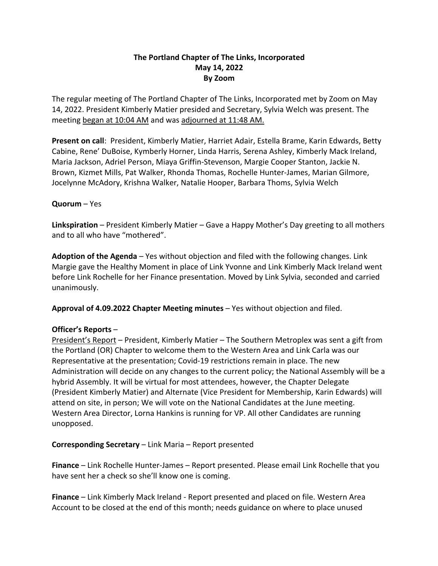# **The Portland Chapter of The Links, Incorporated May 14, 2022 By Zoom**

The regular meeting of The Portland Chapter of The Links, Incorporated met by Zoom on May 14, 2022. President Kimberly Matier presided and Secretary, Sylvia Welch was present. The meeting began at 10:04 AM and was adjourned at 11:48 AM.

**Present on call**: President, Kimberly Matier, Harriet Adair, Estella Brame, Karin Edwards, Betty Cabine, Rene' DuBoise, Kymberly Horner, Linda Harris, Serena Ashley, Kimberly Mack Ireland, Maria Jackson, Adriel Person, Miaya Griffin-Stevenson, Margie Cooper Stanton, Jackie N. Brown, Kizmet Mills, Pat Walker, Rhonda Thomas, Rochelle Hunter-James, Marian Gilmore, Jocelynne McAdory, Krishna Walker, Natalie Hooper, Barbara Thoms, Sylvia Welch

## **Quorum** – Yes

**Linkspiration** – President Kimberly Matier – Gave a Happy Mother's Day greeting to all mothers and to all who have "mothered".

**Adoption of the Agenda** – Yes without objection and filed with the following changes. Link Margie gave the Healthy Moment in place of Link Yvonne and Link Kimberly Mack Ireland went before Link Rochelle for her Finance presentation. Moved by Link Sylvia, seconded and carried unanimously.

**Approval of 4.09.2022 Chapter Meeting minutes** – Yes without objection and filed.

## **Officer's Reports** –

President's Report – President, Kimberly Matier – The Southern Metroplex was sent a gift from the Portland (OR) Chapter to welcome them to the Western Area and Link Carla was our Representative at the presentation; Covid-19 restrictions remain in place. The new Administration will decide on any changes to the current policy; the National Assembly will be a hybrid Assembly. It will be virtual for most attendees, however, the Chapter Delegate (President Kimberly Matier) and Alternate (Vice President for Membership, Karin Edwards) will attend on site, in person; We will vote on the National Candidates at the June meeting. Western Area Director, Lorna Hankins is running for VP. All other Candidates are running unopposed.

## **Corresponding Secretary** – Link Maria – Report presented

**Finance** – Link Rochelle Hunter-James – Report presented. Please email Link Rochelle that you have sent her a check so she'll know one is coming.

**Finance** – Link Kimberly Mack Ireland - Report presented and placed on file. Western Area Account to be closed at the end of this month; needs guidance on where to place unused